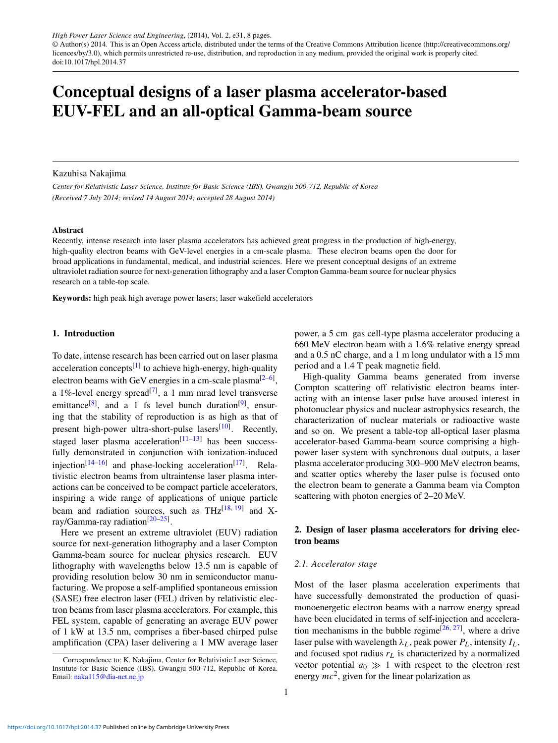*High Power Laser Science and Engineering*, (2014), Vol. 2, e31, 8 pages. © Author(s) 2014. This is an Open Access article, distributed under the terms of the Creative Commons Attribution licence (http://creativecommons.org/ licences/by/3.0), which permits unrestricted re-use, distribution, and reproduction in any medium, provided the original work is properly cited. doi:10.1017/hpl.2014.37

# Conceptual designs of a laser plasma accelerator-based EUV-FEL and an all-optical Gamma-beam source

#### Kazuhisa Nakajima

*Center for Relativistic Laser Science, Institute for Basic Science (IBS), Gwangju 500-712, Republic of Korea (Received 7 July 2014; revised 14 August 2014; accepted 28 August 2014)*

#### Abstract

Recently, intense research into laser plasma accelerators has achieved great progress in the production of high-energy, high-quality electron beams with GeV-level energies in a cm-scale plasma. These electron beams open the door for broad applications in fundamental, medical, and industrial sciences. Here we present conceptual designs of an extreme ultraviolet radiation source for next-generation lithography and a laser Compton Gamma-beam source for nuclear physics research on a table-top scale.

Keywords: high peak high average power lasers; laser wakefield accelerators

#### 1. Introduction

To date, intense research has been carried out on laser plasma acceleration concepts $^{[1]}$  to achieve high-energy, high-quality electron beams with GeV energies in a cm-scale plasma $^{[2-6]}$ , a 1%-level energy spread<sup>[7]</sup>, a 1 mm mrad level transverse emittance<sup>[8]</sup>, and a 1 fs level bunch duration<sup>[9]</sup>, ensuring that the stability of reproduction is as high as that of present high-power ultra-short-pulse lasers<sup>[10]</sup>. Recently, staged laser plasma acceleration<sup>[11–13]</sup> has been successfully demonstrated in conjunction with ionization-induced injection<sup>[14–16]</sup> and phase-locking acceleration<sup>[17]</sup>. Relativistic electron beams from ultraintense laser plasma interactions can be conceived to be compact particle accelerators, inspiring a wide range of applications of unique particle beam and radiation sources, such as TH $z^{[18, 19]}$  and Xray/Gamma-ray radiation<sup>[20–25]</sup>.

Here we present an extreme ultraviolet (EUV) radiation source for next-generation lithography and a laser Compton Gamma-beam source for nuclear physics research. EUV lithography with wavelengths below 13.5 nm is capable of providing resolution below 30 nm in semiconductor manufacturing. We propose a self-amplified spontaneous emission (SASE) free electron laser (FEL) driven by relativistic electron beams from laser plasma accelerators. For example, this FEL system, capable of generating an average EUV power of 1 kW at 13.5 nm, comprises a fiber-based chirped pulse amplification (CPA) laser delivering a 1 MW average laser power, a 5 cm gas cell-type plasma accelerator producing a 660 MeV electron beam with a 1.6% relative energy spread and a 0.5 nC charge, and a 1 m long undulator with a 15 mm period and a 1.4 T peak magnetic field.

High-quality Gamma beams generated from inverse Compton scattering off relativistic electron beams interacting with an intense laser pulse have aroused interest in photonuclear physics and nuclear astrophysics research, the characterization of nuclear materials or radioactive waste and so on. We present a table-top all-optical laser plasma accelerator-based Gamma-beam source comprising a highpower laser system with synchronous dual outputs, a laser plasma accelerator producing 300–900 MeV electron beams, and scatter optics whereby the laser pulse is focused onto the electron beam to generate a Gamma beam via Compton scattering with photon energies of 2–20 MeV.

# 2. Design of laser plasma accelerators for driving electron beams

#### *2.1. Accelerator stage*

Most of the laser plasma acceleration experiments that have successfully demonstrated the production of quasimonoenergetic electron beams with a narrow energy spread have been elucidated in terms of self-injection and acceleration mechanisms in the bubble regime<sup>[26, 27]</sup>, where a drive laser pulse with wavelength  $\lambda_L$ , peak power  $P_L$ , intensity  $I_L$ , and focused spot radius  $r<sub>L</sub>$  is characterized by a normalized vector potential  $a_0 \gg 1$  with respect to the electron rest energy *mc*2, given for the linear polarization as

Correspondence to: K. Nakajima, Center for Relativistic Laser Science, Institute for Basic Science (IBS), Gwangju 500-712, Republic of Korea. Email: naka115@dia-net.ne.jp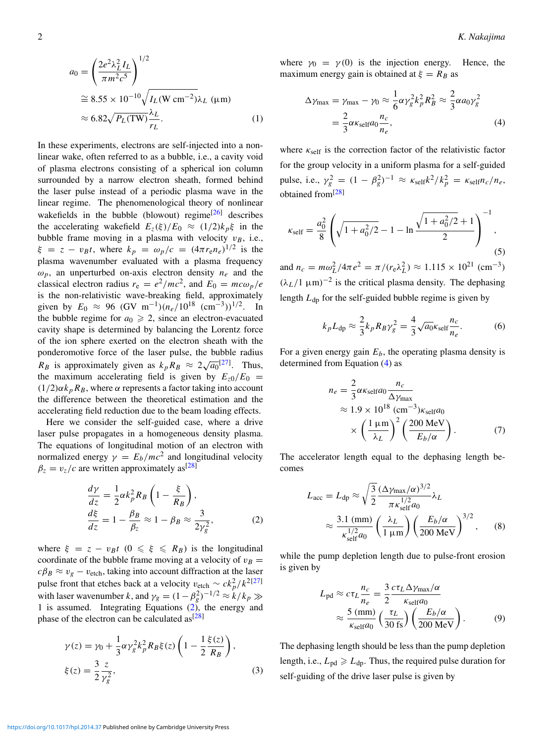$$
a_0 = \left(\frac{2e^2\lambda_L^2 I_L}{\pi m^2 c^5}\right)^{1/2}
$$
  
\n
$$
\approx 8.55 \times 10^{-10} \sqrt{I_L (W cm^{-2})} \lambda_L \text{ } (\mu \text{m})
$$
  
\n
$$
\approx 6.82 \sqrt{P_L (TW)} \frac{\lambda_L}{r_L}.
$$
 (1)

In these experiments, electrons are self-injected into a nonlinear wake, often referred to as a bubble, i.e., a cavity void of plasma electrons consisting of a spherical ion column surrounded by a narrow electron sheath, formed behind the laser pulse instead of a periodic plasma wave in the linear regime. The phenomenological theory of nonlinear wakefields in the bubble (blowout) regime $[26]$  describes the accelerating wakefield  $E_z(\xi)/E_0 \approx (1/2)k_p\xi$  in the bubble frame moving in a plasma with velocity  $v_B$ , i.e.,  $\xi = z - v_B t$ , where  $k_p = \omega_p/c = (4\pi r_e n_e)^{1/2}$  is the plasma wavenumber evaluated with a plasma frequency  $\omega_p$ , an unperturbed on-axis electron density  $n_e$  and the classical electron radius  $r_e = e^2/mc^2$ , and  $E_0 = mc\omega_p/e$ is the non-relativistic wave-breaking field, approximately given by  $E_0 \approx 96$  (GV m<sup>-1</sup>)( $n_e/10^{18}$  (cm<sup>-3</sup>))<sup>1/2</sup>. In the bubble regime for  $a_0 \ge 2$ , since an electron-evacuated cavity shape is determined by balancing the Lorentz force of the ion sphere exerted on the electron sheath with the ponderomotive force of the laser pulse, the bubble radius  $R_B$  is approximately given as  $k_p R_B \approx 2\sqrt{a_0}^{[27]}$ . Thus, the maximum accelerating field is given by  $E_{z0}/E_0 =$  $(1/2)\alpha k_p R_B$ , where  $\alpha$  represents a factor taking into account the difference between the theoretical estimation and the accelerating field reduction due to the beam loading effects.

Here we consider the self-guided case, where a drive laser pulse propagates in a homogeneous density plasma. The equations of longitudinal motion of an electron with normalized energy  $\gamma = E_b/mc^2$  and longitudinal velocity  $\beta_z = v_z/c$  are written approximately as<sup>[28]</sup>

$$
\frac{d\gamma}{dz} = \frac{1}{2}\alpha k_p^2 R_B \left(1 - \frac{\xi}{R_B}\right),
$$
  
\n
$$
\frac{d\xi}{dz} = 1 - \frac{\beta_B}{\beta_z} \approx 1 - \beta_B \approx \frac{3}{2\gamma_g^2},
$$
\n(2)

where  $\xi = z - v_B t$  ( $0 \le \xi \le R_B$ ) is the longitudinal coordinate of the bubble frame moving at a velocity of  $v_B =$  $c\beta_B \approx v_g - v_{\text{etch}}$ , taking into account diffraction at the laser pulse front that etches back at a velocity  $v_{\text{etch}} \sim ck_p^2/k^{2[27]}$ with laser wavenumber *k*, and  $\gamma_g = (1 - \beta_g^2)^{-1/2} \approx k/k_p \gg$ 1 is assumed. Integrating Equations  $(2)$ , the energy and phase of the electron can be calculated as<sup>[28]</sup>

$$
\gamma(z) = \gamma_0 + \frac{1}{3} \alpha \gamma_g^2 k_p^2 R_B \xi(z) \left( 1 - \frac{1}{2} \frac{\xi(z)}{R_B} \right),
$$
  

$$
\xi(z) = \frac{3}{2} \frac{z}{\gamma_g^2},
$$
 (3)

where  $\gamma_0 = \gamma(0)$  is the injection energy. Hence, the maximum energy gain is obtained at  $\xi = R_B$  as

$$
\Delta \gamma_{\text{max}} = \gamma_{\text{max}} - \gamma_0 \approx \frac{1}{6} \alpha \gamma_g^2 k_p^2 R_B^2 \approx \frac{2}{3} \alpha a_0 \gamma_g^2
$$
  
=  $\frac{2}{3} \alpha \kappa_{\text{self}} a_0 \frac{n_c}{n_e}$ , (4)

where  $\kappa_{\text{self}}$  is the correction factor of the relativistic factor for the group velocity in a uniform plasma for a self-guided  $p$ ulse, i.e.,  $\gamma_g^2 = (1 - \beta_g^2)^{-1} \approx \kappa_{\text{self}} k^2 / k_p^2 = \kappa_{\text{self}} n_c / n_e$ obtained from<sup>[28]</sup>

$$
\kappa_{\text{self}} = \frac{a_0^2}{8} \left( \sqrt{1 + a_0^2/2} - 1 - \ln \frac{\sqrt{1 + a_0^2/2} + 1}{2} \right)^{-1},\tag{5}
$$

and  $n_c = m\omega_L^2/4\pi e^2 = \pi/(r_e\lambda_L^2) \approx 1.115 \times 10^{21}$  (cm<sup>-3</sup>)  $(\lambda_L/1 \mu m)^{-2}$  is the critical plasma density. The dephasing length *L*dp for the self-guided bubble regime is given by

$$
k_p L_{dp} \approx \frac{2}{3} k_p R_B \gamma_g^2 = \frac{4}{3} \sqrt{a_0} \kappa_{\text{self}} \frac{n_c}{n_e}.
$$
 (6)

For a given energy gain  $E<sub>b</sub>$ , the operating plasma density is determined from Equation (4) as

$$
n_e = \frac{2}{3} \alpha \kappa_{\text{self}} a_0 \frac{n_c}{\Delta \gamma_{\text{max}}} \approx 1.9 \times 10^{18} \, (\text{cm}^{-3}) \kappa_{\text{self}} a_0 \times \left(\frac{1 \, \mu \text{m}}{\lambda_L}\right)^2 \left(\frac{200 \, \text{MeV}}{E_b/\alpha}\right). \tag{7}
$$

The accelerator length equal to the dephasing length becomes

$$
L_{\text{acc}} = L_{\text{dp}} \approx \sqrt{\frac{3}{2}} \frac{(\Delta \gamma_{\text{max}}/\alpha)^{3/2}}{\pi \kappa_{\text{self}}^{1/2} a_0} \lambda_L
$$
  
 
$$
\approx \frac{3.1 \text{ (mm)}}{\kappa_{\text{self}}^{1/2} a_0} \left(\frac{\lambda_L}{1 \text{ }\mu\text{m}}\right) \left(\frac{E_b/\alpha}{200 \text{ MeV}}\right)^{3/2}, \quad (8)
$$

while the pump depletion length due to pulse-front erosion is given by

$$
L_{\rm pd} \approx c \tau_L \frac{n_c}{n_e} = \frac{3}{2} \frac{c \tau_L \Delta \gamma_{\rm max}/\alpha}{\kappa_{\rm self} a_0}
$$

$$
\approx \frac{5 \text{ (mm)}}{\kappa_{\rm self} a_0} \left(\frac{\tau_L}{30 \text{ fs}}\right) \left(\frac{E_b/\alpha}{200 \text{ MeV}}\right). \tag{9}
$$

The dephasing length should be less than the pump depletion length, i.e.,  $L_{pd} \ge L_{dp}$ . Thus, the required pulse duration for self-guiding of the drive laser pulse is given by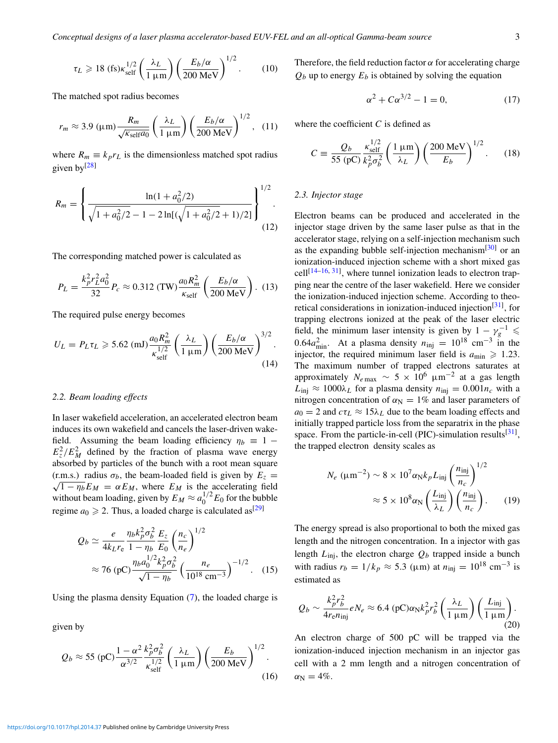*Conceptual designs of a laser plasma accelerator-based EUV-FEL and an all-optical Gamma-beam source* 3

$$
\tau_L \geqslant 18 \text{ (fs)} \kappa_{\text{self}}^{1/2} \left(\frac{\lambda_L}{1 \text{ }\mu\text{m}}\right) \left(\frac{E_b/\alpha}{200 \text{ MeV}}\right)^{1/2}.
$$
 (10)

The matched spot radius becomes

$$
r_m \approx 3.9 \text{ } (\mu \text{m}) \frac{R_m}{\sqrt{\kappa_{\text{self}} a_0}} \left(\frac{\lambda_L}{1 \text{ } \mu \text{m}}\right) \left(\frac{E_b/\alpha}{200 \text{ MeV}}\right)^{1/2}, \quad (11)
$$

where  $R_m \equiv k_p r_L$  is the dimensionless matched spot radius given  $by^{[28]}$ 

$$
R_m = \left\{ \frac{\ln(1 + a_0^2/2)}{\sqrt{1 + a_0^2/2} - 1 - 2\ln[(\sqrt{1 + a_0^2/2} + 1)/2]} \right\}^{1/2}.
$$
\n(12)

The corresponding matched power is calculated as

$$
P_L = \frac{k_p^2 r_L^2 a_0^2}{32} P_c \approx 0.312 \text{ (TW)} \frac{a_0 R_m^2}{\kappa_{\text{self}}} \left( \frac{E_b/\alpha}{200 \text{ MeV}} \right). \tag{13}
$$

The required pulse energy becomes

$$
U_L = P_L \tau_L \ge 5.62 \text{ (mJ)} \frac{a_0 R_m^2}{\kappa_{\text{self}}^{1/2}} \left(\frac{\lambda_L}{1 \text{ }\mu\text{m}}\right) \left(\frac{E_b/\alpha}{200 \text{ MeV}}\right)^{3/2}.
$$
\n(14)

#### *2.2. Beam loading effects*

In laser wakefield acceleration, an accelerated electron beam induces its own wakefield and cancels the laser-driven wakefield. Assuming the beam loading efficiency  $\eta_b \equiv 1 E_z^2/E_M^2$  defined by the fraction of plasma wave energy absorbed by particles of the bunch with a root mean square (r.m.s.) radius  $\sigma_b$ , the beam-loaded field is given by  $E_z = \sqrt{1 - \eta_b} E_M = \alpha E_M$ , where  $E_M$  is the accelerating field without beam loading, given by  $E_M \approx a_0^{1/2} E_0$  for the bubble regime  $a_0 \ge 2$ . Thus, a loaded charge is calculated as<sup>[29]</sup>

$$
Q_b \simeq \frac{e}{4k_L r_e} \frac{\eta_b k_p^2 \sigma_b^2}{1 - \eta_b} \frac{E_z}{E_0} \left(\frac{n_c}{n_e}\right)^{1/2}
$$
  

$$
\approx 76 \text{ (pC)} \frac{\eta_b a_0^{1/2} k_p^2 \sigma_b^2}{\sqrt{1 - \eta_b}} \left(\frac{n_e}{10^{18} \text{ cm}^{-3}}\right)^{-1/2}.
$$
 (15)

Using the plasma density Equation (7), the loaded charge is

given by

$$
Q_b \approx 55 \text{ (pC)} \frac{1 - \alpha^2}{\alpha^{3/2}} \frac{k_p^2 \sigma_b^2}{\kappa_{\text{self}}^{1/2}} \left(\frac{\lambda_L}{1 \text{ }\mu\text{m}}\right) \left(\frac{E_b}{200 \text{ MeV}}\right)^{1/2}.
$$
\n(16)

Therefore, the field reduction factor  $\alpha$  for accelerating charge  $Q_b$  up to energy  $E_b$  is obtained by solving the equation

$$
\alpha^2 + C\alpha^{3/2} - 1 = 0,\t(17)
$$

where the coefficient *C* is defined as

$$
C = \frac{Q_b}{55 \text{ (pC)}} \frac{\kappa_{\text{self}}^{1/2}}{k_p^2 \sigma_b^2} \left(\frac{1 \text{ }\mu\text{m}}{\lambda_L}\right) \left(\frac{200 \text{ MeV}}{E_b}\right)^{1/2}.
$$
 (18)

#### *2.3. Injector stage*

Electron beams can be produced and accelerated in the injector stage driven by the same laser pulse as that in the accelerator stage, relying on a self-injection mechanism such as the expanding bubble self-injection mechanism $^{[30]}$  or an ionization-induced injection scheme with a short mixed gas  $cell^{[14-16, 31]}$ , where tunnel ionization leads to electron trapping near the centre of the laser wakefield. Here we consider the ionization-induced injection scheme. According to theoretical considerations in ionization-induced injection<sup>[31]</sup>, for trapping electrons ionized at the peak of the laser electric field, the minimum laser intensity is given by  $1 - \gamma_g^{-1} \leq$ 0.64 $a_{\text{min}}^2$ . At a plasma density  $n_{\text{inj}} = 10^{18} \text{ cm}^{-3}$  in the injector, the required minimum laser field is  $a_{\text{min}} \geq 1.23$ . The maximum number of trapped electrons saturates at approximately  $N_{e \text{ max}} \sim 5 \times 10^6 \mu \text{m}^{-2}$  at a gas length  $L_{\text{ini}} \approx 1000\lambda_L$  for a plasma density  $n_{\text{inj}} = 0.001n_c$  with a nitrogen concentration of  $\alpha_N = 1\%$  and laser parameters of  $a_0 = 2$  and  $c\tau_L \approx 15\lambda_L$  due to the beam loading effects and initially trapped particle loss from the separatrix in the phase space. From the particle-in-cell (PIC)-simulation results<sup>[31]</sup>, the trapped electron density scales as

$$
N_e \ (\mu \text{m}^{-2}) \sim 8 \times 10^7 \alpha_{\text{N}} k_p L_{\text{inj}} \left(\frac{n_{\text{inj}}}{n_c}\right)^{1/2}
$$

$$
\approx 5 \times 10^8 \alpha_{\text{N}} \left(\frac{L_{\text{inj}}}{\lambda_L}\right) \left(\frac{n_{\text{inj}}}{n_c}\right). \tag{19}
$$

The energy spread is also proportional to both the mixed gas length and the nitrogen concentration. In a injector with gas length  $L_{\text{ini}}$ , the electron charge  $Q_b$  trapped inside a bunch with radius  $r_b = 1/k_p \approx 5.3 \text{ (µm)}$  at  $n_{\text{inj}} = 10^{18} \text{ cm}^{-3}$  is estimated as

$$
Q_b \sim \frac{k_p^2 r_b^2}{4 r_e n_{\text{inj}}} e N_e \approx 6.4 \text{ (pC)} \alpha_{\text{N}} k_p^2 r_b^2 \left(\frac{\lambda_L}{1 \text{ }\mu\text{m}}\right) \left(\frac{L_{\text{inj}}}{1 \text{ }\mu\text{m}}\right). \tag{20}
$$

An electron charge of 500 pC will be trapped via the ionization-induced injection mechanism in an injector gas cell with a 2 mm length and a nitrogen concentration of  $\alpha_N = 4\%$ .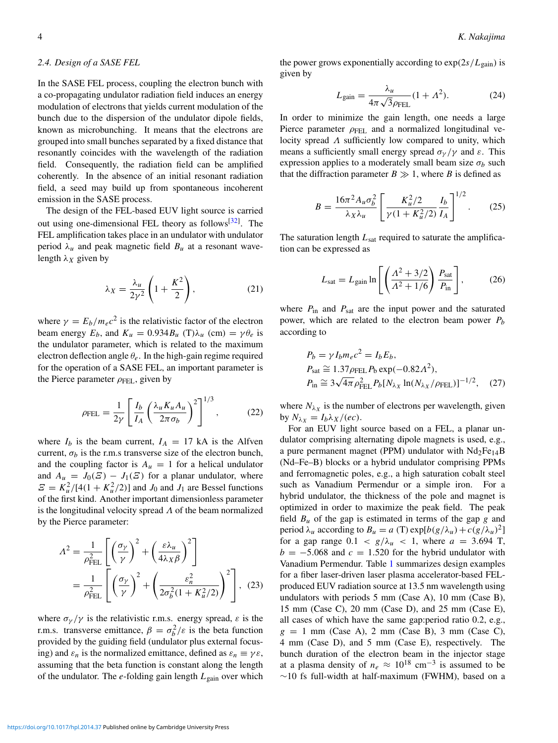In the SASE FEL process, coupling the electron bunch with a co-propagating undulator radiation field induces an energy modulation of electrons that yields current modulation of the bunch due to the dispersion of the undulator dipole fields, known as microbunching. It means that the electrons are grouped into small bunches separated by a fixed distance that resonantly coincides with the wavelength of the radiation field. Consequently, the radiation field can be amplified coherently. In the absence of an initial resonant radiation field, a seed may build up from spontaneous incoherent emission in the SASE process.

The design of the FEL-based EUV light source is carried out using one-dimensional FEL theory as follows<sup>[32]</sup>. The FEL amplification takes place in an undulator with undulator period  $\lambda_u$  and peak magnetic field  $B_u$  at a resonant wavelength  $\lambda_X$  given by

$$
\lambda_X = \frac{\lambda_u}{2\gamma^2} \left( 1 + \frac{K^2}{2} \right),\tag{21}
$$

where  $\gamma = E_b/m_e c^2$  is the relativistic factor of the electron beam energy  $E_b$ , and  $K_u = 0.934 B_u$  (T) $\lambda_u$  (cm) =  $\gamma \theta_e$  is the undulator parameter, which is related to the maximum electron deflection angle θ*e*. In the high-gain regime required for the operation of a SASE FEL, an important parameter is the Pierce parameter  $\rho_{\text{FEL}}$ , given by

$$
\rho_{\text{FEL}} = \frac{1}{2\gamma} \left[ \frac{I_b}{I_A} \left( \frac{\lambda_u K_u A_u}{2\pi \sigma_b} \right)^2 \right]^{1/3},\tag{22}
$$

where  $I_b$  is the beam current,  $I_A = 17$  kA is the Alfven current,  $\sigma_b$  is the r.m.s transverse size of the electron bunch, and the coupling factor is  $A_u = 1$  for a helical undulator and  $A_u = J_0(\mathcal{Z}) - J_1(\mathcal{Z})$  for a planar undulator, where  $E = K_u^2/[4(1 + K_u^2/2)]$  and  $J_0$  and  $J_1$  are Bessel functions of the first kind. Another important dimensionless parameter is the longitudinal velocity spread  $\Lambda$  of the beam normalized by the Pierce parameter:

$$
\Lambda^2 = \frac{1}{\rho_{\text{FEL}}^2} \left[ \left( \frac{\sigma_\gamma}{\gamma} \right)^2 + \left( \frac{\varepsilon \lambda_u}{4 \lambda_X \beta} \right)^2 \right]
$$
  
=  $\frac{1}{\rho_{\text{FEL}}^2} \left[ \left( \frac{\sigma_\gamma}{\gamma} \right)^2 + \left( \frac{\varepsilon_n^2}{2 \sigma_b^2 (1 + K_u^2 / 2)} \right)^2 \right],$  (23)

where  $\sigma_{\gamma}/\gamma$  is the relativistic r.m.s. energy spread,  $\varepsilon$  is the r.m.s. transverse emittance,  $\beta = \sigma_b^2/\varepsilon$  is the beta function provided by the guiding field (undulator plus external focusing) and  $\varepsilon_n$  is the normalized emittance, defined as  $\varepsilon_n \equiv \gamma \varepsilon$ , assuming that the beta function is constant along the length of the undulator. The *e*-folding gain length *L*gain over which

the power grows exponentially according to  $\exp(2s/L_{\text{gain}})$  is given by

$$
L_{\text{gain}} = \frac{\lambda_u}{4\pi\sqrt{3}\rho_{\text{FEL}}} (1 + \Lambda^2). \tag{24}
$$

In order to minimize the gain length, one needs a large Pierce parameter  $\rho$ <sub>FEL</sub> and a normalized longitudinal velocity spread  $\Lambda$  sufficiently low compared to unity, which means a sufficiently small energy spread  $\sigma_{\gamma}/\gamma$  and  $\varepsilon$ . This expression applies to a moderately small beam size  $\sigma_b$  such that the diffraction parameter  $B \gg 1$ , where *B* is defined as

$$
B = \frac{16\pi^2 A_u \sigma_b^2}{\lambda_X \lambda_u} \left[ \frac{K_u^2/2}{\gamma (1 + K_u^2/2)} \frac{I_b}{I_A} \right]^{1/2}.
$$
 (25)

The saturation length  $L_{sat}$  required to saturate the amplification can be expressed as

$$
L_{\text{sat}} = L_{\text{gain}} \ln \left[ \left( \frac{\Lambda^2 + 3/2}{\Lambda^2 + 1/6} \right) \frac{P_{\text{sat}}}{P_{\text{in}}} \right],\tag{26}
$$

where  $P_{\text{in}}$  and  $P_{\text{sat}}$  are the input power and the saturated power, which are related to the electron beam power *Pb* according to

$$
P_b = \gamma I_b m_e c^2 = I_b E_b,
$$
  
\n
$$
P_{\text{sat}} \cong 1.37 \rho_{\text{FEL}} P_b \exp(-0.82 \Lambda^2),
$$
  
\n
$$
P_{\text{in}} \cong 3\sqrt{4\pi} \rho_{\text{FEL}}^2 P_b [N_{\lambda_X} \ln(N_{\lambda_X}/\rho_{\text{FEL}})]^{-1/2}, \quad (27)
$$

where  $N_{\lambda_X}$  is the number of electrons per wavelength, given by  $N_{\lambda X} = I_b \lambda_X/(ec)$ .

For an EUV light source based on a FEL, a planar undulator comprising alternating dipole magnets is used, e.g., a pure permanent magnet (PPM) undulator with  $Nd_2Fe_{14}B$ (Nd–Fe–B) blocks or a hybrid undulator comprising PPMs and ferromagnetic poles, e.g., a high saturation cobalt steel such as Vanadium Permendur or a simple iron. For a hybrid undulator, the thickness of the pole and magnet is optimized in order to maximize the peak field. The peak field *Bu* of the gap is estimated in terms of the gap *g* and period  $\lambda_u$  according to  $B_u = a$  (T)  $\exp[b(g/\lambda_u) + c(g/\lambda_u)^2]$ for a gap range  $0.1 < g/\lambda_u < 1$ , where  $a = 3.694$  T,  $b = -5.068$  and  $c = 1.520$  for the hybrid undulator with Vanadium Permendur. Table 1 summarizes design examples for a fiber laser-driven laser plasma accelerator-based FELproduced EUV radiation source at 13.5 nm wavelength using undulators with periods 5 mm (Case A), 10 mm (Case B), 15 mm (Case C), 20 mm (Case D), and 25 mm (Case E), all cases of which have the same gap:period ratio 0.2, e.g.,  $g = 1$  mm (Case A), 2 mm (Case B), 3 mm (Case C), 4 mm (Case D), and 5 mm (Case E), respectively. The bunch duration of the electron beam in the injector stage at a plasma density of  $n_e \approx 10^{18}$  cm<sup>-3</sup> is assumed to be  $∼10$  fs full-width at half-maximum (FWHM), based on a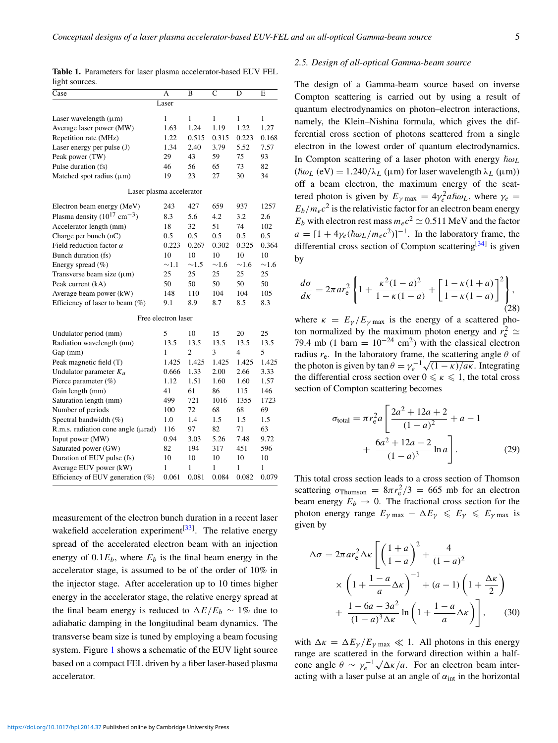| Case                                       | А         | B         | C          | D          | E          |  |  |  |  |
|--------------------------------------------|-----------|-----------|------------|------------|------------|--|--|--|--|
| Laser                                      |           |           |            |            |            |  |  |  |  |
| Laser wavelength $(\mu m)$                 | 1         | 1         | 1          | 1          | 1          |  |  |  |  |
| Average laser power (MW)                   | 1.63      | 1.24      | 1.19       | 1.22       | 1.27       |  |  |  |  |
| Repetition rate (MHz)                      | 1.22      | 0.515     | 0.315      | 0.223      | 0.168      |  |  |  |  |
| Laser energy per pulse (J)                 | 1.34      | 2.40      | 3.79       | 5.52       | 7.57       |  |  |  |  |
| Peak power (TW)                            | 29        | 43        | 59         | 75         | 93         |  |  |  |  |
| Pulse duration (fs)                        | 46        | 56        | 65         | 73         | 82         |  |  |  |  |
| Matched spot radius $(\mu m)$              | 19        | 23        | 27         | 30         | 34         |  |  |  |  |
| Laser plasma accelerator                   |           |           |            |            |            |  |  |  |  |
| Electron beam energy (MeV)                 | 243       | 427       | 659        | 937        | 1257       |  |  |  |  |
| Plasma density $(10^{17} \text{ cm}^{-3})$ | 8.3       | 5.6       | 4.2        | 3.2        | 2.6        |  |  |  |  |
| Accelerator length (mm)                    | 18        | 32        | 51         | 74         | 102        |  |  |  |  |
| Charge per bunch (nC)                      | 0.5       | 0.5       | 0.5        | 0.5        | $0.5\,$    |  |  |  |  |
| Field reduction factor $\alpha$            | 0.223     | 0.267     | 0.302      | 0.325      | 0.364      |  |  |  |  |
| Bunch duration (fs)                        | 10        | 10        | 10         | 10         | 10         |  |  |  |  |
| Energy spread (%)                          | $\sim1.1$ | $\sim1.5$ | $\sim$ 1.6 | $\sim$ 1.6 | $\sim$ 1.6 |  |  |  |  |
| Transverse beam size $(\mu m)$             | 25        | 25        | 25         | 25         | 25         |  |  |  |  |
| Peak current (kA)                          | 50        | 50        | 50         | 50         | 50         |  |  |  |  |
| Average beam power (kW)                    | 148       | 110       | 104        | 104        | 105        |  |  |  |  |
| Efficiency of laser to beam $(\%)$         | 9.1       | 8.9       | 8.7        | 8.5        | 8.3        |  |  |  |  |
| Free electron laser                        |           |           |            |            |            |  |  |  |  |
| Undulator period (mm)                      | 5         | 10        | 15         | 20         | 25         |  |  |  |  |
| Radiation wavelength (nm)                  | 13.5      | 13.5      | 13.5       | 13.5       | 13.5       |  |  |  |  |
| Gap (mm)                                   | 1         | 2         | 3          | 4          | 5          |  |  |  |  |
| Peak magnetic field (T)                    | 1.425     | 1.425     | 1.425      | 1.425      | 1.425      |  |  |  |  |
| Undulator parameter $K_u$                  | 0.666     | 1.33      | 2.00       | 2.66       | 3.33       |  |  |  |  |
| Pierce parameter $(\%)$                    | 1.12      | 1.51      | 1.60       | 1.60       | 1.57       |  |  |  |  |
| Gain length (mm)                           | 41        | 61        | 86         | 115        | 146        |  |  |  |  |
| Saturation length (mm)                     | 499       | 721       | 1016       | 1355       | 1723       |  |  |  |  |
| Number of periods                          | 100       | 72        | 68         | 68         | 69         |  |  |  |  |
| Spectral bandwidth (%)                     | 1.0       | 1.4       | 1.5        | 1.5        | 1.5        |  |  |  |  |
| R.m.s. radiation cone angle $(\mu rad)$    | 116       | 97        | 82         | 71         | 63         |  |  |  |  |
| Input power (MW)                           | 0.94      | 3.03      | 5.26       | 7.48       | 9.72       |  |  |  |  |
| Saturated power (GW)                       | 82        | 194       | 317        | 451        | 596        |  |  |  |  |
| Duration of EUV pulse (fs)                 | 10        | 10        | 10         | 10         | 10         |  |  |  |  |
| Average EUV power (kW)                     | 1         | 1         | 1          | 1          | 1          |  |  |  |  |
| Efficiency of EUV generation $(\%)$        | 0.061     | 0.081     | 0.084      | 0.082      | 0.079      |  |  |  |  |

Table 1. Parameters for laser plasma accelerator-based EUV FEL light sources.

measurement of the electron bunch duration in a recent laser wakefield acceleration experiment<sup>[33]</sup>. The relative energy spread of the accelerated electron beam with an injection energy of  $0.1E_b$ , where  $E_b$  is the final beam energy in the accelerator stage, is assumed to be of the order of 10% in the injector stage. After acceleration up to 10 times higher energy in the accelerator stage, the relative energy spread at the final beam energy is reduced to  $\Delta E/E_b \sim 1\%$  due to adiabatic damping in the longitudinal beam dynamics. The transverse beam size is tuned by employing a beam focusing system. Figure 1 shows a schematic of the EUV light source based on a compact FEL driven by a fiber laser-based plasma accelerator.

## *2.5. Design of all-optical Gamma-beam source*

The design of a Gamma-beam source based on inverse Compton scattering is carried out by using a result of quantum electrodynamics on photon–electron interactions, namely, the Klein–Nishina formula, which gives the differential cross section of photons scattered from a single electron in the lowest order of quantum electrodynamics. In Compton scattering of a laser photon with energy  $\hbar \omega$ <sup>L</sup> ( $\hbar \omega_L$  (eV) = 1.240/ $\lambda_L$  ( $\mu$ m) for laser wavelength  $\lambda_L$  ( $\mu$ m)) off a beam electron, the maximum energy of the scattered photon is given by  $E_{\gamma \text{ max}} = 4\gamma_e^2 a \hbar \omega_L$ , where  $\gamma_e =$  $E_b/m_ec^2$  is the relativistic factor for an electron beam energy  $E_b$  with electron rest mass  $m_ec^2 \simeq 0.511$  MeV and the factor  $a = [1 + 4\gamma_e(\hbar\omega_L/m_ec^2)]^{-1}$ . In the laboratory frame, the differential cross section of Compton scattering<sup>[34]</sup> is given by

$$
\frac{d\sigma}{d\kappa} = 2\pi a r_{\rm e}^2 \left\{ 1 + \frac{\kappa^2 (1-a)^2}{1-\kappa(1-a)} + \left[ \frac{1-\kappa(1+a)}{1-\kappa(1-a)} \right]^2 \right\},\tag{28}
$$

where  $\kappa = E_{\gamma}/E_{\gamma \text{ max}}$  is the energy of a scattered photon normalized by the maximum photon energy and  $r_e^2 \simeq$ 79.4 mb (1 barn =  $10^{-24}$  cm<sup>2</sup>) with the classical electron radius  $r_e$ . In the laboratory frame, the scattering angle  $\theta$  of the photon is given by tan  $\theta = \gamma_e^{-1} \sqrt{(1 - \kappa)/a\kappa}$ . Integrating the differential cross section over  $0 \le \kappa \le 1$ , the total cross section of Compton scattering becomes

$$
\sigma_{\text{total}} = \pi r_{\text{e}}^2 a \left[ \frac{2a^2 + 12a + 2}{(1 - a)^2} + a - 1 + \frac{6a^2 + 12a - 2}{(1 - a)^3} \ln a \right].
$$
\n(29)

This total cross section leads to a cross section of Thomson scattering  $\sigma_{\text{Thomson}} = 8\pi r_{\text{e}}^2/3 = 665 \text{ mb}$  for an electron beam energy  $E_b \rightarrow 0$ . The fractional cross section for the photon energy range  $E_{\gamma \text{ max}} - \Delta E_{\gamma} \leqslant E_{\gamma} \leqslant E_{\gamma \text{ max}}$  is given by

$$
\Delta \sigma = 2\pi a r_{e}^{2} \Delta \kappa \left[ \left( \frac{1+a}{1-a} \right)^{2} + \frac{4}{(1-a)^{2}} \times \left( 1 + \frac{1-a}{a} \Delta \kappa \right)^{-1} + (a-1) \left( 1 + \frac{\Delta \kappa}{2} \right) + \frac{1-6a-3a^{2}}{(1-a)^{3} \Delta \kappa} \ln \left( 1 + \frac{1-a}{a} \Delta \kappa \right) \right], \quad (30)
$$

with  $\Delta \kappa = \Delta E_{\gamma}/E_{\gamma \text{ max}} \ll 1$ . All photons in this energy range are scattered in the forward direction within a halfcone angle  $\theta \sim \gamma_e^{-1} \sqrt{\Delta \kappa/a}$ . For an electron beam interacting with a laser pulse at an angle of  $\alpha_{int}$  in the horizontal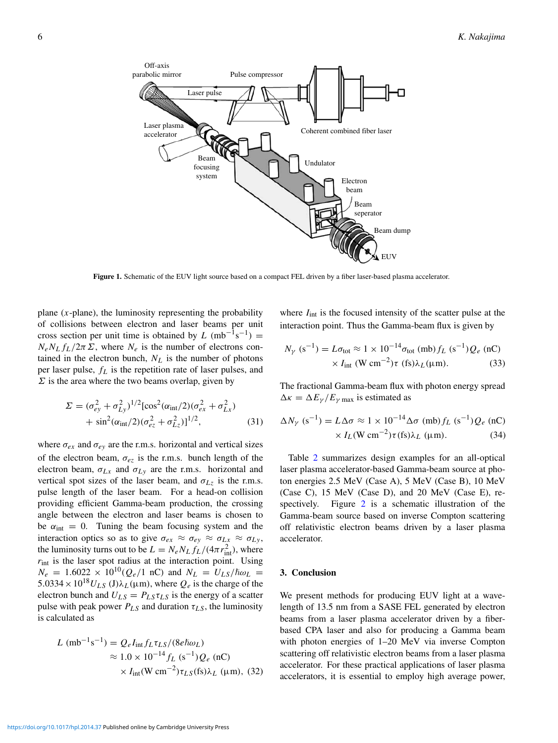

Figure 1. Schematic of the EUV light source based on a compact FEL driven by a fiber laser-based plasma accelerator.

plane (*x*-plane), the luminosity representing the probability of collisions between electron and laser beams per unit cross section per unit time is obtained by  $L \text{ (mb}^{-1} s^{-1}) =$  $N_e N_L f_L / 2\pi \Sigma$ , where  $N_e$  is the number of electrons contained in the electron bunch,  $N_L$  is the number of photons per laser pulse, *fL* is the repetition rate of laser pulses, and  $\Sigma$  is the area where the two beams overlap, given by

$$
\Sigma = (\sigma_{ey}^2 + \sigma_{Ly}^2)^{1/2} [\cos^2(\alpha_{int}/2)(\sigma_{ex}^2 + \sigma_{Lx}^2) + \sin^2(\alpha_{int}/2)(\sigma_{ez}^2 + \sigma_{Lz}^2)]^{1/2},
$$
\n(31)

where  $\sigma_{ex}$  and  $\sigma_{ey}$  are the r.m.s. horizontal and vertical sizes of the electron beam,  $\sigma_{ez}$  is the r.m.s. bunch length of the electron beam,  $\sigma_{Lx}$  and  $\sigma_{Ly}$  are the r.m.s. horizontal and vertical spot sizes of the laser beam, and  $\sigma_{Lz}$  is the r.m.s. pulse length of the laser beam. For a head-on collision providing efficient Gamma-beam production, the crossing angle between the electron and laser beams is chosen to be  $\alpha_{\rm int} = 0$ . Tuning the beam focusing system and the interaction optics so as to give  $\sigma_{ex} \approx \sigma_{ey} \approx \sigma_{Lx} \approx \sigma_{Ly}$ , the luminosity turns out to be  $L = N_e N_L f_L / (4\pi r_{\text{int}}^2)$ , where *r*<sub>int</sub> is the laser spot radius at the interaction point. Using  $N_e = 1.6022 \times 10^{10} (Q_e/1 \text{ nC})$  and  $N_L = U_{LS}/\hbar \omega_L =$  $5.0334 \times 10^{18} U_{LS}$  (J) $\lambda_L(\mu m)$ , where  $Q_e$  is the charge of the electron bunch and  $U_{LS} = P_{LS} \tau_{LS}$  is the energy of a scatter pulse with peak power  $P_{LS}$  and duration  $\tau_{LS}$ , the luminosity is calculated as

$$
L \text{ (mb}^{-1} \text{s}^{-1}) = Q_e I_{\text{int}} f_L \tau_{LS} / (8e\hbar \omega_L)
$$
  
\n
$$
\approx 1.0 \times 10^{-14} f_L \text{ (s}^{-1}) Q_e \text{ (nC)}
$$
  
\n
$$
\times I_{\text{int}} (\text{W cm}^{-2}) \tau_{LS} (\text{fs}) \lambda_L \text{ (µm)}, \text{ (32)}
$$

where  $I_{int}$  is the focused intensity of the scatter pulse at the interaction point. Thus the Gamma-beam flux is given by

$$
N_{\gamma} \text{ (s}^{-1)} = L\sigma_{\text{tot}} \approx 1 \times 10^{-14} \sigma_{\text{tot}} \text{ (mb)} f_L \text{ (s}^{-1)} Q_e \text{ (nC)} \\
\times I_{\text{int}} \text{ (W cm}^{-2)} \tau \text{ (fs)} \lambda_L (\mu \text{m}). \tag{33}
$$

The fractional Gamma-beam flux with photon energy spread  $\Delta \kappa = \Delta E_{\gamma}/E_{\gamma \text{ max}}$  is estimated as

$$
\Delta N_{\gamma} \text{ (s}^{-1)} = L \Delta \sigma \approx 1 \times 10^{-14} \Delta \sigma \text{ (mb)} f_L \text{ (s}^{-1)} Q_e \text{ (nC)}\times I_L (\text{W cm}^{-2}) \tau \text{(fs)} \lambda_L \text{ (µm)}.
$$
 (34)

Table 2 summarizes design examples for an all-optical laser plasma accelerator-based Gamma-beam source at photon energies 2.5 MeV (Case A), 5 MeV (Case B), 10 MeV (Case C), 15 MeV (Case D), and 20 MeV (Case E), respectively. Figure 2 is a schematic illustration of the Gamma-beam source based on inverse Compton scattering off relativistic electron beams driven by a laser plasma accelerator.

#### 3. Conclusion

We present methods for producing EUV light at a wavelength of 13.5 nm from a SASE FEL generated by electron beams from a laser plasma accelerator driven by a fiberbased CPA laser and also for producing a Gamma beam with photon energies of 1–20 MeV via inverse Compton scattering off relativistic electron beams from a laser plasma accelerator. For these practical applications of laser plasma accelerators, it is essential to employ high average power,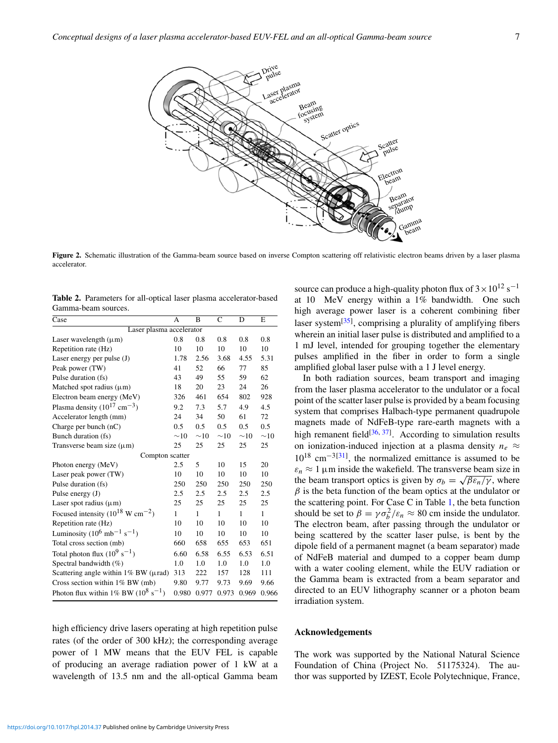

Figure 2. Schematic illustration of the Gamma-beam source based on inverse Compton scattering off relativistic electron beams driven by a laser plasma accelerator.

Table 2. Parameters for all-optical laser plasma accelerator-based Gamma-beam sources.

| Case                                                           | A        | B            | C            | D            | E            |  |  |  |
|----------------------------------------------------------------|----------|--------------|--------------|--------------|--------------|--|--|--|
| Laser plasma accelerator                                       |          |              |              |              |              |  |  |  |
| Laser wavelength $(\mu m)$                                     | 0.8      | 0.8          | 0.8          | 0.8          | 0.8          |  |  |  |
| Repetition rate (Hz)                                           | 10       | 10           | 10           | 10           | 10           |  |  |  |
| Laser energy per pulse (J)                                     | 1.78     | 2.56         | 3.68         | 4.55         | 5.31         |  |  |  |
| Peak power (TW)                                                | 41       | 52           | 66           | 77           | 85           |  |  |  |
| Pulse duration (fs)                                            | 43       | 49           | 55           | 59           | 62           |  |  |  |
| Matched spot radius $(\mu m)$                                  | 18       | 20           | 23           | 24           | 26           |  |  |  |
| Electron beam energy (MeV)                                     | 326      | 461          | 654          | 802          | 928          |  |  |  |
| Plasma density $(10^{17} \text{ cm}^{-3})$                     | 9.2      | 7.3          | 5.7          | 4.9          | 4.5          |  |  |  |
| Accelerator length (mm)                                        | 24       | 34           | 50           | 61           | 72           |  |  |  |
| Charge per bunch $(nC)$                                        | 0.5      | 0.5          | 0.5          | 0.5          | 0.5          |  |  |  |
| Bunch duration (fs)                                            | $\sim10$ | $\sim10$     | $\sim10$     | $\sim10$     | $\sim10$     |  |  |  |
| Transverse beam size $(\mu m)$                                 | 25       | 25           | 25           | 25           | 25           |  |  |  |
| Compton scatter                                                |          |              |              |              |              |  |  |  |
| Photon energy (MeV)                                            | 2.5      | 5            | 10           | 15           | 20           |  |  |  |
| Laser peak power (TW)                                          | 10       | 10           | 10           | 10           | 10           |  |  |  |
| Pulse duration (fs)                                            | 250      | 250          | 250          | 250          | 250          |  |  |  |
| Pulse energy $(J)$                                             | 2.5      | 2.5          | 2.5          | 2.5          | 2.5          |  |  |  |
| Laser spot radius $(\mu m)$                                    | 25       | 25           | 25           | 25           | 25           |  |  |  |
| Focused intensity $(10^{18} \text{ W cm}^{-2})$                | 1        | $\mathbf{1}$ | $\mathbf{1}$ | $\mathbf{1}$ | $\mathbf{1}$ |  |  |  |
| Repetition rate (Hz)                                           | 10       | 10           | 10           | 10           | 10           |  |  |  |
| Luminosity (10 <sup>6</sup> mb <sup>-1</sup> s <sup>-1</sup> ) | 10       | 10           | 10           | 10           | 10           |  |  |  |
| Total cross section (mb)                                       | 660      | 658          | 655          | 653          | 651          |  |  |  |
| Total photon flux $(10^9 \text{ s}^{-1})$                      | 6.60     | 6.58         | 6.55         | 6.53         | 6.51         |  |  |  |
| Spectral bandwidth (%)                                         | 1.0      | 1.0          | 1.0          | 1.0          | 1.0          |  |  |  |
| Scattering angle within 1% BW (µrad)                           | 313      | 222          | 157          | 128          | 111          |  |  |  |
| Cross section within $1\%$ BW (mb)                             | 9.80     | 9.77         | 9.73         | 9.69         | 9.66         |  |  |  |
| Photon flux within 1% BW ( $10^8$ s <sup>-1</sup> )            | 0.980    | 0.977        | 0.973        | 0.969        | 0.966        |  |  |  |

high efficiency drive lasers operating at high repetition pulse rates (of the order of 300 kHz); the corresponding average power of 1 MW means that the EUV FEL is capable of producing an average radiation power of 1 kW at a wavelength of 13.5 nm and the all-optical Gamma beam source can produce a high-quality photon flux of  $3 \times 10^{12}$  s<sup>-1</sup> at 10 MeV energy within a 1% bandwidth. One such high average power laser is a coherent combining fiber laser system<sup>[35]</sup>, comprising a plurality of amplifying fibers wherein an initial laser pulse is distributed and amplified to a 1 mJ level, intended for grouping together the elementary pulses amplified in the fiber in order to form a single amplified global laser pulse with a 1 J level energy.

In both radiation sources, beam transport and imaging from the laser plasma accelerator to the undulator or a focal point of the scatter laser pulse is provided by a beam focusing system that comprises Halbach-type permanent quadrupole magnets made of NdFeB-type rare-earth magnets with a high remanent field<sup>[36, 37]</sup>. According to simulation results on ionization-induced injection at a plasma density  $n_e \approx$ 10<sup>18</sup> cm−3[31] , the normalized emittance is assumed to be  $\varepsilon_n \approx 1$  μm inside the wakefield. The transverse beam size in the beam transport optics is given by  $\sigma_b = \sqrt{\beta \varepsilon_n / \gamma}$ , where  $\beta$  is the beta function of the beam optics at the undulator or the scattering point. For Case C in Table 1, the beta function should be set to  $\beta = \gamma \sigma_b^2 / \varepsilon_n \approx 80$  cm inside the undulator. The electron beam, after passing through the undulator or being scattered by the scatter laser pulse, is bent by the dipole field of a permanent magnet (a beam separator) made of NdFeB material and dumped to a copper beam dump with a water cooling element, while the EUV radiation or the Gamma beam is extracted from a beam separator and directed to an EUV lithography scanner or a photon beam irradiation system.

#### Acknowledgements

The work was supported by the National Natural Science Foundation of China (Project No. 51175324). The author was supported by IZEST, Ecole Polytechnique, France,